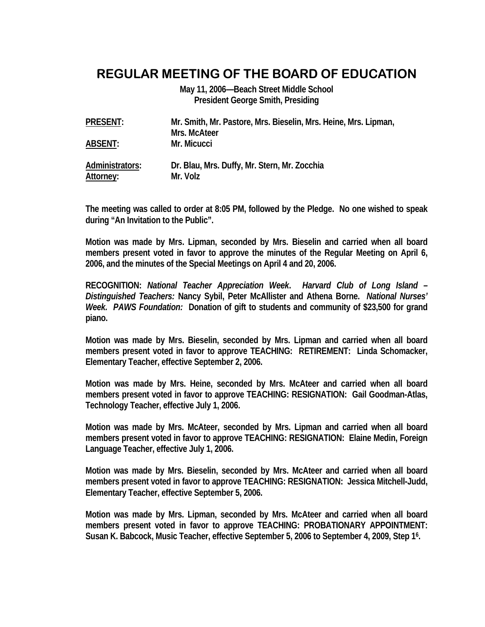# **REGULAR MEETING OF THE BOARD OF EDUCATION**

**May 11, 2006—Beach Street Middle School President George Smith, Presiding** 

| <b>PRESENT:</b>              | Mr. Smith, Mr. Pastore, Mrs. Bieselin, Mrs. Heine, Mrs. Lipman,<br>Mrs. McAteer |
|------------------------------|---------------------------------------------------------------------------------|
| <b>ABSENT:</b>               | Mr. Micucci                                                                     |
| Administrators:<br>Attorney: | Dr. Blau, Mrs. Duffy, Mr. Stern, Mr. Zocchia<br>Mr. Volz                        |

**The meeting was called to order at 8:05 PM, followed by the Pledge. No one wished to speak during "An Invitation to the Public".** 

**Motion was made by Mrs. Lipman, seconded by Mrs. Bieselin and carried when all board members present voted in favor to approve the minutes of the Regular Meeting on April 6, 2006, and the minutes of the Special Meetings on April 4 and 20, 2006.** 

**RECOGNITION:** *National Teacher Appreciation Week***.** *Harvard Club of Long Island – Distinguished Teachers:* **Nancy Sybil, Peter McAllister and Athena Borne.** *National Nurses' Week. PAWS Foundation:* **Donation of gift to students and community of \$23,500 for grand piano.** 

**Motion was made by Mrs. Bieselin, seconded by Mrs. Lipman and carried when all board members present voted in favor to approve TEACHING: RETIREMENT: Linda Schomacker, Elementary Teacher, effective September 2, 2006.** 

**Motion was made by Mrs. Heine, seconded by Mrs. McAteer and carried when all board members present voted in favor to approve TEACHING: RESIGNATION: Gail Goodman-Atlas, Technology Teacher, effective July 1, 2006.** 

**Motion was made by Mrs. McAteer, seconded by Mrs. Lipman and carried when all board members present voted in favor to approve TEACHING: RESIGNATION: Elaine Medin, Foreign Language Teacher, effective July 1, 2006.** 

**Motion was made by Mrs. Bieselin, seconded by Mrs. McAteer and carried when all board members present voted in favor to approve TEACHING: RESIGNATION: Jessica Mitchell-Judd, Elementary Teacher, effective September 5, 2006.** 

**Motion was made by Mrs. Lipman, seconded by Mrs. McAteer and carried when all board members present voted in favor to approve TEACHING: PROBATIONARY APPOINTMENT: Susan K. Babcock, Music Teacher, effective September 5, 2006 to September 4, 2009, Step 16.**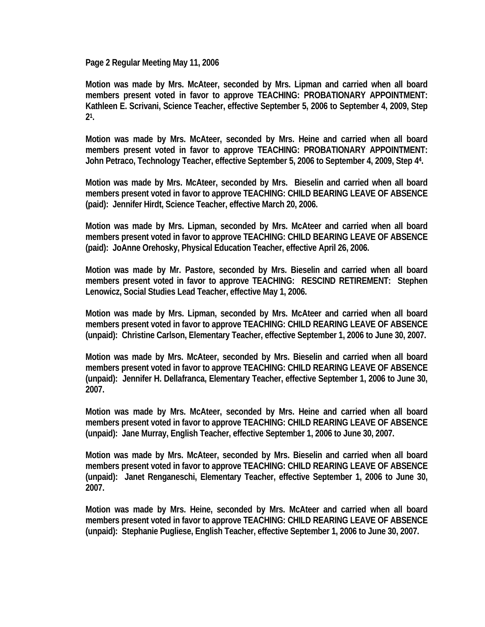**Page 2 Regular Meeting May 11, 2006** 

**Motion was made by Mrs. McAteer, seconded by Mrs. Lipman and carried when all board members present voted in favor to approve TEACHING: PROBATIONARY APPOINTMENT: Kathleen E. Scrivani, Science Teacher, effective September 5, 2006 to September 4, 2009, Step 21.** 

**Motion was made by Mrs. McAteer, seconded by Mrs. Heine and carried when all board members present voted in favor to approve TEACHING: PROBATIONARY APPOINTMENT: John Petraco, Technology Teacher, effective September 5, 2006 to September 4, 2009, Step 44.** 

**Motion was made by Mrs. McAteer, seconded by Mrs. Bieselin and carried when all board members present voted in favor to approve TEACHING: CHILD BEARING LEAVE OF ABSENCE (paid): Jennifer Hirdt, Science Teacher, effective March 20, 2006.** 

**Motion was made by Mrs. Lipman, seconded by Mrs. McAteer and carried when all board members present voted in favor to approve TEACHING: CHILD BEARING LEAVE OF ABSENCE (paid): JoAnne Orehosky, Physical Education Teacher, effective April 26, 2006.** 

**Motion was made by Mr. Pastore, seconded by Mrs. Bieselin and carried when all board members present voted in favor to approve TEACHING: RESCIND RETIREMENT: Stephen Lenowicz, Social Studies Lead Teacher, effective May 1, 2006.** 

**Motion was made by Mrs. Lipman, seconded by Mrs. McAteer and carried when all board members present voted in favor to approve TEACHING: CHILD REARING LEAVE OF ABSENCE (unpaid): Christine Carlson, Elementary Teacher, effective September 1, 2006 to June 30, 2007.** 

**Motion was made by Mrs. McAteer, seconded by Mrs. Bieselin and carried when all board members present voted in favor to approve TEACHING: CHILD REARING LEAVE OF ABSENCE (unpaid): Jennifer H. Dellafranca, Elementary Teacher, effective September 1, 2006 to June 30, 2007.** 

**Motion was made by Mrs. McAteer, seconded by Mrs. Heine and carried when all board members present voted in favor to approve TEACHING: CHILD REARING LEAVE OF ABSENCE (unpaid): Jane Murray, English Teacher, effective September 1, 2006 to June 30, 2007.** 

**Motion was made by Mrs. McAteer, seconded by Mrs. Bieselin and carried when all board members present voted in favor to approve TEACHING: CHILD REARING LEAVE OF ABSENCE (unpaid): Janet Renganeschi, Elementary Teacher, effective September 1, 2006 to June 30, 2007.** 

**Motion was made by Mrs. Heine, seconded by Mrs. McAteer and carried when all board members present voted in favor to approve TEACHING: CHILD REARING LEAVE OF ABSENCE (unpaid): Stephanie Pugliese, English Teacher, effective September 1, 2006 to June 30, 2007.**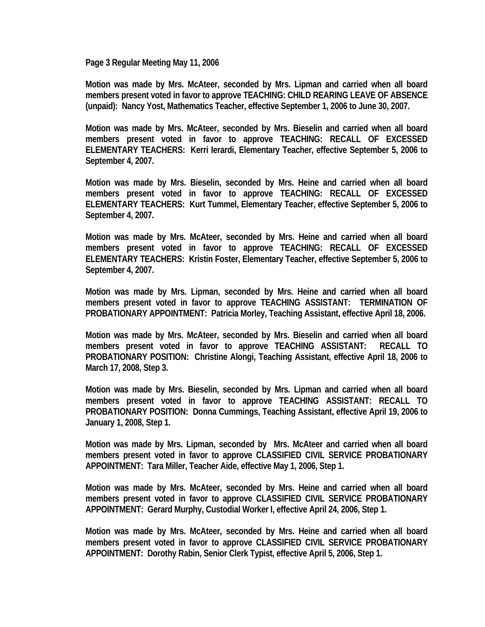**Page 3 Regular Meeting May 11, 2006** 

**Motion was made by Mrs. McAteer, seconded by Mrs. Lipman and carried when all board members present voted in favor to approve TEACHING: CHILD REARING LEAVE OF ABSENCE (unpaid): Nancy Yost, Mathematics Teacher, effective September 1, 2006 to June 30, 2007.** 

**Motion was made by Mrs. McAteer, seconded by Mrs. Bieselin and carried when all board members present voted in favor to approve TEACHING: RECALL OF EXCESSED ELEMENTARY TEACHERS: Kerri Ierardi, Elementary Teacher, effective September 5, 2006 to September 4, 2007.** 

**Motion was made by Mrs. Bieselin, seconded by Mrs. Heine and carried when all board members present voted in favor to approve TEACHING: RECALL OF EXCESSED ELEMENTARY TEACHERS: Kurt Tummel, Elementary Teacher, effective September 5, 2006 to September 4, 2007.** 

**Motion was made by Mrs. McAteer, seconded by Mrs. Heine and carried when all board members present voted in favor to approve TEACHING: RECALL OF EXCESSED ELEMENTARY TEACHERS: Kristin Foster, Elementary Teacher, effective September 5, 2006 to September 4, 2007.** 

**Motion was made by Mrs. Lipman, seconded by Mrs. Heine and carried when all board members present voted in favor to approve TEACHING ASSISTANT: TERMINATION OF PROBATIONARY APPOINTMENT: Patricia Morley, Teaching Assistant, effective April 18, 2006.** 

**Motion was made by Mrs. McAteer, seconded by Mrs. Bieselin and carried when all board members present voted in favor to approve TEACHING ASSISTANT: RECALL TO PROBATIONARY POSITION: Christine Alongi, Teaching Assistant, effective April 18, 2006 to March 17, 2008, Step 3.** 

**Motion was made by Mrs. Bieselin, seconded by Mrs. Lipman and carried when all board members present voted in favor to approve TEACHING ASSISTANT: RECALL TO PROBATIONARY POSITION: Donna Cummings, Teaching Assistant, effective April 19, 2006 to January 1, 2008, Step 1.** 

**Motion was made by Mrs. Lipman, seconded by Mrs. McAteer and carried when all board members present voted in favor to approve CLASSIFIED CIVIL SERVICE PROBATIONARY APPOINTMENT: Tara Miller, Teacher Aide, effective May 1, 2006, Step 1.** 

**Motion was made by Mrs. McAteer, seconded by Mrs. Heine and carried when all board members present voted in favor to approve CLASSIFIED CIVIL SERVICE PROBATIONARY APPOINTMENT: Gerard Murphy, Custodial Worker I, effective April 24, 2006, Step 1.** 

**Motion was made by Mrs. McAteer, seconded by Mrs. Heine and carried when all board members present voted in favor to approve CLASSIFIED CIVIL SERVICE PROBATIONARY APPOINTMENT: Dorothy Rabin, Senior Clerk Typist, effective April 5, 2006, Step 1.**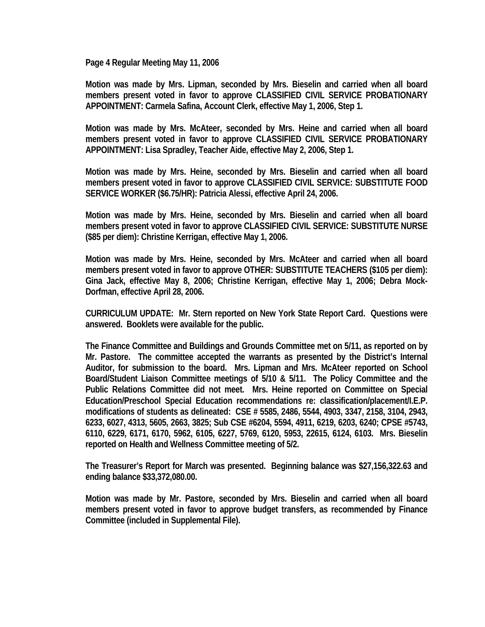**Page 4 Regular Meeting May 11, 2006** 

**Motion was made by Mrs. Lipman, seconded by Mrs. Bieselin and carried when all board members present voted in favor to approve CLASSIFIED CIVIL SERVICE PROBATIONARY APPOINTMENT: Carmela Safina, Account Clerk, effective May 1, 2006, Step 1.** 

**Motion was made by Mrs. McAteer, seconded by Mrs. Heine and carried when all board members present voted in favor to approve CLASSIFIED CIVIL SERVICE PROBATIONARY APPOINTMENT: Lisa Spradley, Teacher Aide, effective May 2, 2006, Step 1.** 

**Motion was made by Mrs. Heine, seconded by Mrs. Bieselin and carried when all board members present voted in favor to approve CLASSIFIED CIVIL SERVICE: SUBSTITUTE FOOD SERVICE WORKER (\$6.75/HR): Patricia Alessi, effective April 24, 2006.** 

**Motion was made by Mrs. Heine, seconded by Mrs. Bieselin and carried when all board members present voted in favor to approve CLASSIFIED CIVIL SERVICE: SUBSTITUTE NURSE (\$85 per diem): Christine Kerrigan, effective May 1, 2006.** 

**Motion was made by Mrs. Heine, seconded by Mrs. McAteer and carried when all board members present voted in favor to approve OTHER: SUBSTITUTE TEACHERS (\$105 per diem): Gina Jack, effective May 8, 2006; Christine Kerrigan, effective May 1, 2006; Debra Mock-Dorfman, effective April 28, 2006.** 

**CURRICULUM UPDATE: Mr. Stern reported on New York State Report Card. Questions were answered. Booklets were available for the public.** 

**The Finance Committee and Buildings and Grounds Committee met on 5/11, as reported on by Mr. Pastore. The committee accepted the warrants as presented by the District's Internal Auditor, for submission to the board. Mrs. Lipman and Mrs. McAteer reported on School Board/Student Liaison Committee meetings of 5/10 & 5/11. The Policy Committee and the Public Relations Committee did not meet. Mrs. Heine reported on Committee on Special Education/Preschool Special Education recommendations re: classification/placement/I.E.P. modifications of students as delineated: CSE # 5585, 2486, 5544, 4903, 3347, 2158, 3104, 2943, 6233, 6027, 4313, 5605, 2663, 3825; Sub CSE #6204, 5594, 4911, 6219, 6203, 6240; CPSE #5743, 6110, 6229, 6171, 6170, 5962, 6105, 6227, 5769, 6120, 5953, 22615, 6124, 6103. Mrs. Bieselin reported on Health and Wellness Committee meeting of 5/2.** 

**The Treasurer's Report for March was presented. Beginning balance was \$27,156,322.63 and ending balance \$33,372,080.00.** 

**Motion was made by Mr. Pastore, seconded by Mrs. Bieselin and carried when all board members present voted in favor to approve budget transfers, as recommended by Finance Committee (included in Supplemental File).**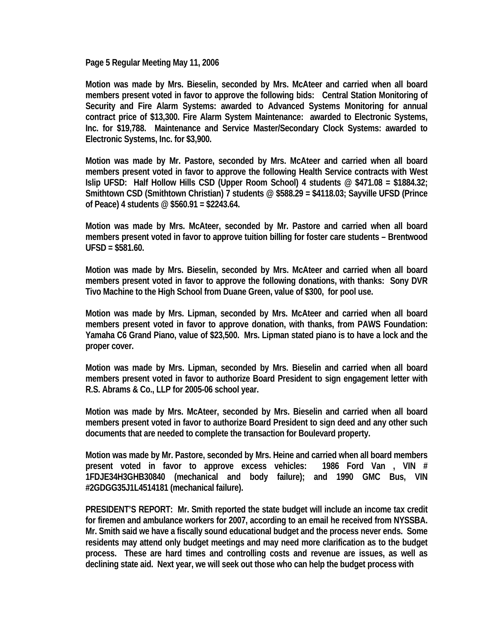**Page 5 Regular Meeting May 11, 2006** 

**Motion was made by Mrs. Bieselin, seconded by Mrs. McAteer and carried when all board members present voted in favor to approve the following bids: Central Station Monitoring of Security and Fire Alarm Systems: awarded to Advanced Systems Monitoring for annual contract price of \$13,300. Fire Alarm System Maintenance: awarded to Electronic Systems, Inc. for \$19,788. Maintenance and Service Master/Secondary Clock Systems: awarded to Electronic Systems, Inc. for \$3,900.** 

**Motion was made by Mr. Pastore, seconded by Mrs. McAteer and carried when all board members present voted in favor to approve the following Health Service contracts with West Islip UFSD: Half Hollow Hills CSD (Upper Room School) 4 students @ \$471.08 = \$1884.32; Smithtown CSD (Smithtown Christian) 7 students @ \$588.29 = \$4118.03; Sayville UFSD (Prince of Peace) 4 students @ \$560.91 = \$2243.64.** 

**Motion was made by Mrs. McAteer, seconded by Mr. Pastore and carried when all board members present voted in favor to approve tuition billing for foster care students – Brentwood UFSD = \$581.60.** 

**Motion was made by Mrs. Bieselin, seconded by Mrs. McAteer and carried when all board members present voted in favor to approve the following donations, with thanks: Sony DVR Tivo Machine to the High School from Duane Green, value of \$300, for pool use.** 

**Motion was made by Mrs. Lipman, seconded by Mrs. McAteer and carried when all board members present voted in favor to approve donation, with thanks, from PAWS Foundation: Yamaha C6 Grand Piano, value of \$23,500. Mrs. Lipman stated piano is to have a lock and the proper cover.** 

**Motion was made by Mrs. Lipman, seconded by Mrs. Bieselin and carried when all board members present voted in favor to authorize Board President to sign engagement letter with R.S. Abrams & Co., LLP for 2005-06 school year.** 

**Motion was made by Mrs. McAteer, seconded by Mrs. Bieselin and carried when all board members present voted in favor to authorize Board President to sign deed and any other such documents that are needed to complete the transaction for Boulevard property.** 

**Motion was made by Mr. Pastore, seconded by Mrs. Heine and carried when all board members present voted in favor to approve excess vehicles: 1986 Ford Van , VIN # 1FDJE34H3GHB30840 (mechanical and body failure); and 1990 GMC Bus, VIN #2GDGG35J1L4514181 (mechanical failure).** 

**PRESIDENT'S REPORT: Mr. Smith reported the state budget will include an income tax credit for firemen and ambulance workers for 2007, according to an email he received from NYSSBA. Mr. Smith said we have a fiscally sound educational budget and the process never ends. Some residents may attend only budget meetings and may need more clarification as to the budget process. These are hard times and controlling costs and revenue are issues, as well as declining state aid. Next year, we will seek out those who can help the budget process with**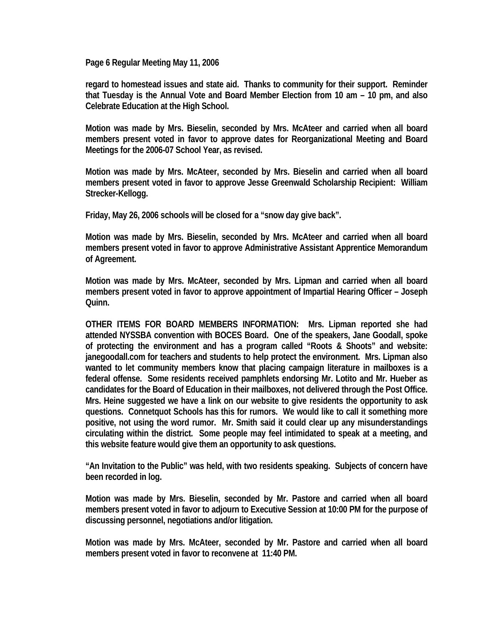**Page 6 Regular Meeting May 11, 2006** 

**regard to homestead issues and state aid. Thanks to community for their support. Reminder that Tuesday is the Annual Vote and Board Member Election from 10 am – 10 pm, and also Celebrate Education at the High School.** 

**Motion was made by Mrs. Bieselin, seconded by Mrs. McAteer and carried when all board members present voted in favor to approve dates for Reorganizational Meeting and Board Meetings for the 2006-07 School Year, as revised.** 

**Motion was made by Mrs. McAteer, seconded by Mrs. Bieselin and carried when all board members present voted in favor to approve Jesse Greenwald Scholarship Recipient: William Strecker-Kellogg.** 

**Friday, May 26, 2006 schools will be closed for a "snow day give back".** 

**Motion was made by Mrs. Bieselin, seconded by Mrs. McAteer and carried when all board members present voted in favor to approve Administrative Assistant Apprentice Memorandum of Agreement.** 

**Motion was made by Mrs. McAteer, seconded by Mrs. Lipman and carried when all board members present voted in favor to approve appointment of Impartial Hearing Officer – Joseph Quinn.** 

**OTHER ITEMS FOR BOARD MEMBERS INFORMATION: Mrs. Lipman reported she had attended NYSSBA convention with BOCES Board. One of the speakers, Jane Goodall, spoke of protecting the environment and has a program called "Roots & Shoots" and website: janegoodall.com for teachers and students to help protect the environment. Mrs. Lipman also wanted to let community members know that placing campaign literature in mailboxes is a federal offense. Some residents received pamphlets endorsing Mr. Lotito and Mr. Hueber as candidates for the Board of Education in their mailboxes, not delivered through the Post Office. Mrs. Heine suggested we have a link on our website to give residents the opportunity to ask questions. Connetquot Schools has this for rumors. We would like to call it something more positive, not using the word rumor. Mr. Smith said it could clear up any misunderstandings circulating within the district. Some people may feel intimidated to speak at a meeting, and this website feature would give them an opportunity to ask questions.** 

**"An Invitation to the Public" was held, with two residents speaking. Subjects of concern have been recorded in log.** 

**Motion was made by Mrs. Bieselin, seconded by Mr. Pastore and carried when all board members present voted in favor to adjourn to Executive Session at 10:00 PM for the purpose of discussing personnel, negotiations and/or litigation.** 

**Motion was made by Mrs. McAteer, seconded by Mr. Pastore and carried when all board members present voted in favor to reconvene at 11:40 PM.**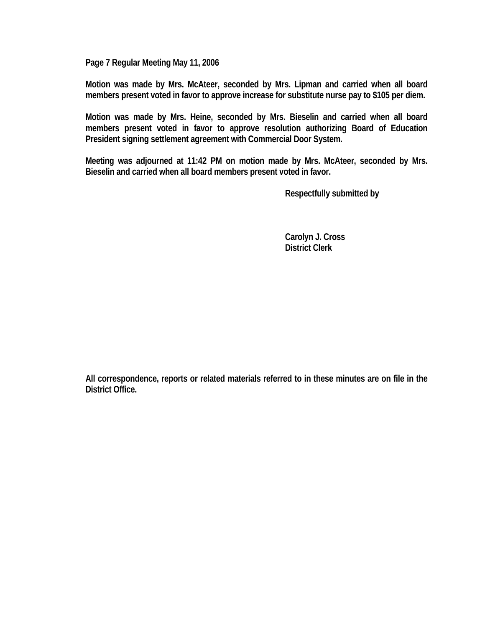**Page 7 Regular Meeting May 11, 2006** 

**Motion was made by Mrs. McAteer, seconded by Mrs. Lipman and carried when all board members present voted in favor to approve increase for substitute nurse pay to \$105 per diem.** 

**Motion was made by Mrs. Heine, seconded by Mrs. Bieselin and carried when all board members present voted in favor to approve resolution authorizing Board of Education President signing settlement agreement with Commercial Door System.** 

**Meeting was adjourned at 11:42 PM on motion made by Mrs. McAteer, seconded by Mrs. Bieselin and carried when all board members present voted in favor.** 

 **Respectfully submitted by** 

 **Carolyn J. Cross District Clerk** 

**All correspondence, reports or related materials referred to in these minutes are on file in the District Office.**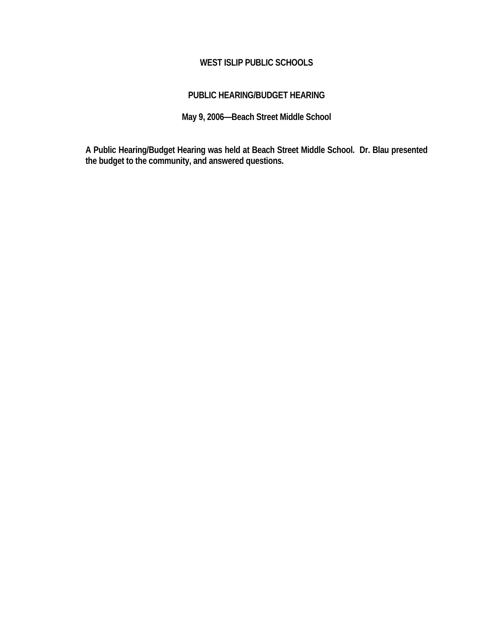# **WEST ISLIP PUBLIC SCHOOLS**

## **PUBLIC HEARING/BUDGET HEARING**

**May 9, 2006—Beach Street Middle School** 

**A Public Hearing/Budget Hearing was held at Beach Street Middle School. Dr. Blau presented the budget to the community, and answered questions.**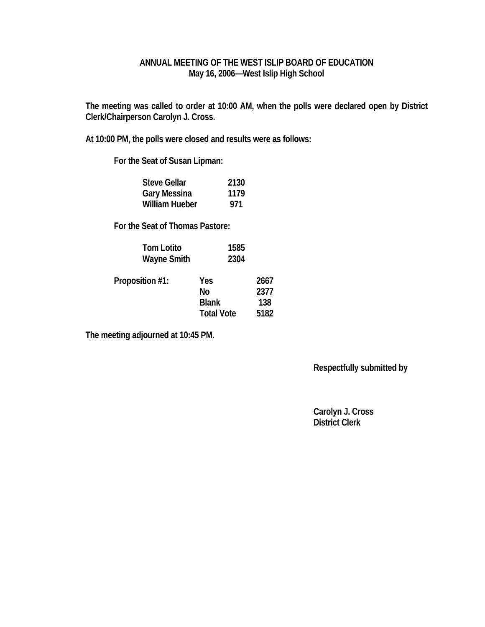### **ANNUAL MEETING OF THE WEST ISLIP BOARD OF EDUCATION May 16, 2006—West Islip High School**

**The meeting was called to order at 10:00 AM, when the polls were declared open by District Clerk/Chairperson Carolyn J. Cross.** 

**At 10:00 PM, the polls were closed and results were as follows:** 

 **For the Seat of Susan Lipman:** 

| <b>Steve Gellar</b>   | 2130 |
|-----------------------|------|
| <b>Gary Messina</b>   | 1179 |
| <b>William Hueber</b> | 971  |

 **For the Seat of Thomas Pastore:** 

| <b>Tom Lotito</b><br><b>Wayne Smith</b> | 1585<br>2304      |              |
|-----------------------------------------|-------------------|--------------|
| Proposition #1:                         | Yes<br>No         | 2667<br>2377 |
|                                         | <b>Blank</b>      | 138          |
|                                         | <b>Total Vote</b> | 5182         |

**The meeting adjourned at 10:45 PM.** 

 **Respectfully submitted by** 

 **Carolyn J. Cross District Clerk**